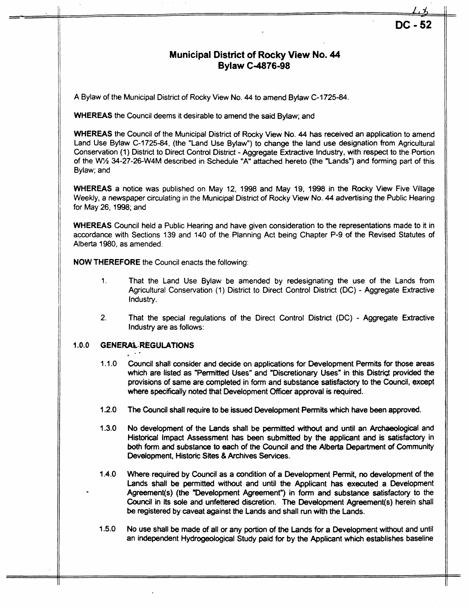## **Municipal District of Rocky View No. 44 Bylaw C-4876-98**

A Bylaw of the Municipal District of Rocky View **No. 44** to amend Byiaw C-1725-84.

**WHEREAS** the Council deems it desirable to amend the said Bylaw; and

**WHEREAS** the Council of the Municipal District of Rocky View **No. 44** has received an application to amend Land **Use** Bylaw C-1725-84, (the "Land Use Bylaw") to change the land use designation from Agricultural Conservation (1) District to Direct Control District - Aggregate Extractive Industry, with respect to the Portion of the *W'h* 34-27-26-W4M described in Schedule "A" attached hereto (the "Lands") and forming part of this Bylaw; and

**WHEREAS** a notice was published on May 12, 1998 and May 19, 1998 in the Rocky View Five Village Weekly, a newspaper circulating in the Municipal District of Rocky View No. **44** advertising the Public Hearing for May 26, 1998; and

**WHEREAS** Council held a Public Hearing and have given consideration to the representations made to it in accordance with Sections 139 and 140 of the Planning Act being Chapter P-9 of the Revised Statutes of Alberta 1980, as amended.

**NOW THEREFORE** the Council enacts the following:

- 1. That the Land Use Bylaw be amended by redesignating the use of the Lands from Agricultural Conservation (1 ) District to Direct Control District (DC) - Aggregate Extractive Industry.
- 2. That the special regulations of the Direct Control District (DC) Aggregate Extractive Industry are as follows:

## **1.0.0 GENERAL REGULATIONS**

- $1.1.0$ Council shall consider and decide on applications for Development Permits for those areas which are listed as "Permitted Uses" and "Discretionary Uses" in this Distrigt provided the provisions of same are completed in form and substance satisfactory to the Council, except where specifically noted that Development Officer approval is required.
- **1.2.0**  The Council shall require to be issued Development Permits which have been approved.
- **1.3.0**  No development of the Lands shall be permitted without and until an Archaeological and Historical Impact Assessment has been submitted by **the** applicant and is satisfactory in **both** form and substance to each of the Council and **the** Alberta Department of Community Development, Historic Sites *8* Archives Services.
- 1.4.0 Where required by Council as a condition of a Development Permit, no development of the Lands shall be permitted without and until **the** Applicant has executed a Development Agreement(s) **(the** "Development Agreement") in form and substance satisfactory to the Council in its sole and unfettered discretion. The Development Agreement(s) herein shall be registered by caveat against the Lands and shall run with the Lands.
- 1.5.0 NO use shall be made of all or any portion of the Lands for a Development without and until an independent Hydrogeological Study paid for by the Applicant which establishes baseline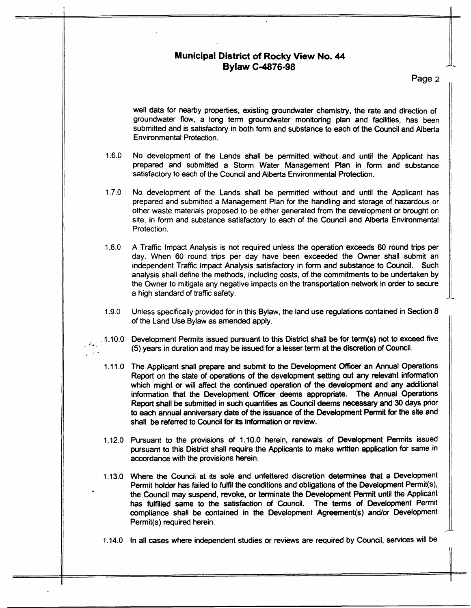

**Page 2** 

well data for nearby properties, existing groundwater chemistry, the rate and direction of groundwater flow, a long term groundwater monitoring plan and facilities, has been submitted and is satisfactory in both form and substance to each of the Council and Alberta Environmental Protection.

- 1.6.0 No development of the Lands shall be permitted without and until the Applicant has prepared and submitted a Storm Water Management Plan in form and substance satisfactory to each of the Council and Alberta Environmental Protection.
- 1.7.0 No development of the Lands shall be permitted without and until the Applicant has prepared and submitted a Management Plan for the handling and storage of hazardous or other waste materials proposed to be either generated from the development **or** brought on site, in form and substance satisfactory to each **of** the Council and Alberta Environmental Protection.
- 1.8.0 A Traffic Impact Analysis is not required unless the operation exceeds *60* round trips per day. When 60 round trips per day have been exceeded the Owner shall submit an independent Traffic Impact Analysis satisfactory in form and substance to Council. Such analysis shall define the methods, including costs, of the commitments to be undertaken by the Owner to mitigate any negative impacts on the transportation network in order to secure a high standard of traffic safety.
- 1.9.0 Unless **specifically** provided for in this Bylaw, the land use regulations contained in Section 8 of the Land Use Bylaw as amended apply.
- $.1.10.0$ Development Permits issued pursuant to this District **shall** be for **term(s)** not to exceed five (5) years in duration and may be issued for a lesser term at **the** discretion of Council.

.-

- 1.11.0 The Applicant shall prepare and submit to the Development Officer an Annual Operations Report on the **state** of operations **of the** development setting *out* any relevaht **information**  which might or will affect the continued operation of **the** development and any additional information that the Development officer deems appropriate. The Annual Operations Report shall be submitted in such quantities as Council **deems** necessary and **30 days** prior to each annual anniversary date of the issuance **of** the Development Permit for **the** site and shall be referred to Council for its information **or** review.
- 1.12.0 Pursuant to **the** provisions of **1.10.0** herein, renewals of Development Permits issued pursuant to this District shall require **the** Applicants to make written application for same in accordance with the provisions herein.
- Econdance with the provisions nordin.<br>1.13.0 Where the Council at its sole and unfettered discretion determines that a Development Permit holder has failed to fulfil **the** conditions and obligations of **the** Development Permit(s), *the* Council may suspend, revoke, or terminate the Development Permit until **the** Applicant has fulfilled same to the satisfaction of Council. The terms of Development Permit compliance shall be contained in the Development Agreement(s) and/or Development Permit(s) required herein.
- **1.14.0**  In all cases where independent studies or reviews are required **by** Council, services will be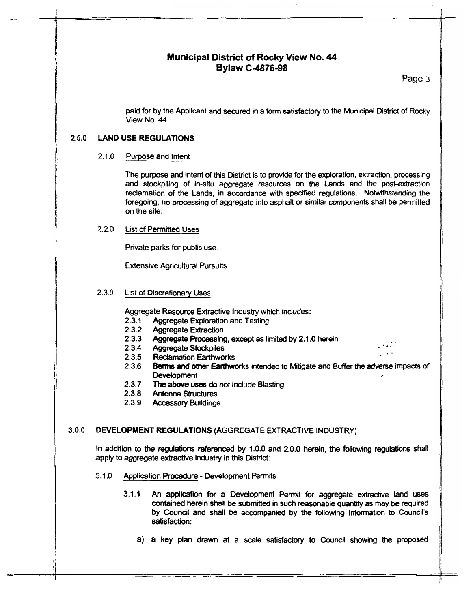## **Municipal District of Rocky View No. 44 Bylaw C4876-98**

Page 3

paid for by the Applicant and secured in a form satisfactory to the Municipal District of Rocky View No. **44.** 

## **2.0.0 LAND USE REGULATIONS**

#### $2.1.0$ Purpose and Intent

The purpose and intent of this District is to provide for the exploration, extraction, processing and stockpiling of in-situ aggregate resources on the Lands and the post-extraction reclamation of the Lands, in accordance with specified regulations. Notwithstanding the foregoing, **no** processing of aggregate into asphalt or similar components shall **be** permitted on the site.

#### **2.2.0**  List of Permitted Uses

Private parks for public use.

Extensive Agricultural Pursuits

#### **2.3.0**  List of Discretionary Uses

Aggregate Resource Extractive Industry which includes:

- **2.3.1** Aggregate Exploration and Testing
- **2.3.2** Aggregate Extraction
- **2.3.3**  Aggregate Processing, except as limited by 2.1.0 herein **Aggregate Stocknilles**
- **2.3.4** Aggregate Stockpiles **.a**
- 2.3.5 Reclamation Earthworks
- **2.3.6 Berms** and **other** Earthworks intended to Mitigate and Buffer the adverse **impacts of**  Development ,
- **2.3.7**  The above **uses do** not include Blasting
- **2.3.8** Antenna Structures
- **2.3.9** Accessory Buildings

## *3.0.0* DEVELOPMENT REGULATIONS (AGGREGATE EXTRACTIVE INDUSTRY)

In addition to the regulations referenced by **1.0.0** and *2.0.0* herein, **the** following regulations shall apply to aggregate extractive industry in this District:

- **3.1.0** Application Procedure Development Permits
	- **3.1.1** An application for a Development Permit for aggregate extractive land uses contained herein shall be submitted in such reasonable quantity as may be required by Council and shall be accompanied by **the** following Information to Council's satisfaction:
		- a) a key plan drawn at a scale satisfactory to Council showing the proposed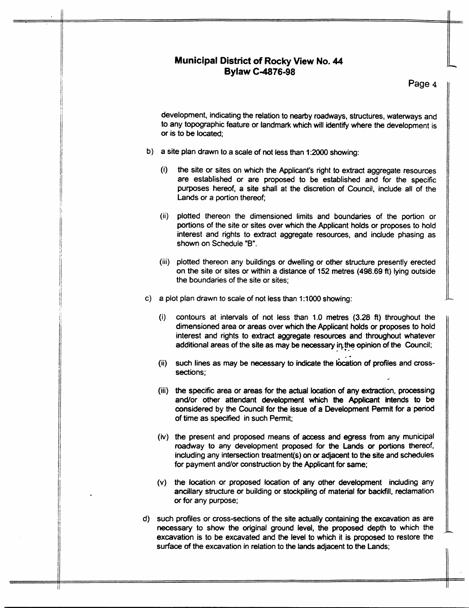## **Municipal District of Rocky View No. 44 Bylaw C4876-98**

**Page 4** 

development, indicating the relation to nearby roadways, structures, wateways and to any topographic feature or landmark which will identify where the development is or is to be located;

- b) a site plan drawn to a scale of not less than **1:2OOO** showing:
	- (i) the site or sites on which the Applicant's right to extract aggregate resources are established or are proposed to be established and for the specific purposes hereof, a site shall at the discretion of Council, include all of the Lands or a portion thereof;
	- (ii) plotted thereon the dimensioned limits and boundaries of the portion or portions of the site or sites over which the Applicant holds or proposes to hold interest and rights to extract aggregate resources, and indude phasing as shown on Schedule **"9".**
	- (iii) plotted thereon any buildings or dwelling or other structure presently erected on the site or sites or within a distance of 152 metres (498.69 ft) lying outside the boundaries of the site or sites;
- c) a plot plan drawn to scale of not less than 1:1000 showing:
	- $(i)$ contours at intervals of not less than 1.0 metres **(3.28** ft) throughout the dimensioned area or areas over which the Applicant holds or proposes to hold interest and rights to extract aggregate resources and throughout whatever additional areas of the site as may be necessary in the opinion of the Council;
	- such lines as may be **necessasy** to indicate the ktion *of* **profiles** and crosssections;
	- **the** specific area or areas for the actual location of any extraction, processing and/or other attendant development which *the* Applicant intends to be considered by **the** Council for **the** issue of a Development Permit for a **perid**  of time as specified in such Permit;
	- (iv) the present and proposed means of access and egress from any municipal roadway to any development proposed for the Lands **or** portions thereof, including any intersection treatment(s) on *or* adjacent to **the** site and schedules for payment and/or construction by the Applicant for same;
	- (v) the location or proposed location of any other development including any ancillary structure or building or stockpiling of material for backfill, reclamation or for any purpose;
- d) such profiles or cross-sections of the site actually containing the excavation as are necessary to show the original ground **level,** the proposed depth to which the excavation is to be excavated and **the** level to which it is proposed to restore the surface of the excavation in relation to the lands adjacent to the Lands;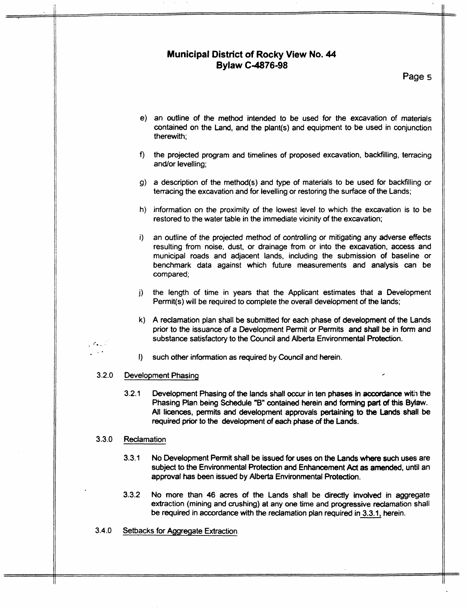## **Municipal District of Rocky View No. 44 Bylaw C-4876-98**

**Page 5** 

- an outline of the method intended to be used for the excavation of materials contained on the Land, and the plant(s) and equipment to be used in conjunction therewith;
- the projected program and timelines of proposed excavation, backfilling, terracing f). and/or levelling;
- a description of the method(s) and **type** of materials to be used for backfilling or terracing the excavation and for levelling or restoring the surface of the Lands;
- h) information on the proximity of the lowest level to which the excavation is to be restored to the water table in the immediate vicinity of the excavation;
- an outline of the projected method of controlling *or* mitigating any adverse effects i). resulting from noise, dust, or drainage from or into the excavation, access and municipal roads and adjacent lands, including the submission of baseline or benchmark data against which future measurements and analysis can be compared;
- the length of time in years that the Applicant estimates that a Development j). Permit(s) will be required to complete the overall development of the lands;
- A reclamation plan shall be submitted for *each* phase of development of the Lands prior to the issuance of a Development Permit or Permits and shall be in form and substance satisfactory to the Council and Alberta Environmental Protection.
- $\mathbf{D}$ such other information as required by Council and herein.

#### **3.2.0**  Development Phasing /

**3.2.1** Development Phasing of **the** lands shall occur in ten **phases** in **accmbnce with** the Phasing Plan being Schedule **"B"** contained herein and **forming** part of this Bylaw. Ail licences, permits and development approvals pertaining to **the** Lands **shall** be required prior to **the** development of *each* **phase** *of the* **Lands.** 

#### **3.3.0 Reclamation**

.  $\sim$  . ..

- **3.3.1** No Development Permit shall be issued for uses on **the** Lands where **such** uses are subject to the Environmental Protection and Enhancement Act as amended, until an approval has been issued by Alberta Environmental Protection.
- **3.3.2** No more than 46 acres of the Lands shall be directly involved in aggregate extraction (mining and crushing) at any one time and progressive reclamation shall be required **in** accordance with the reclamation plan required in 3.3.1, herein.
- **3.4.0**  Setbacks for Aggregate Extraction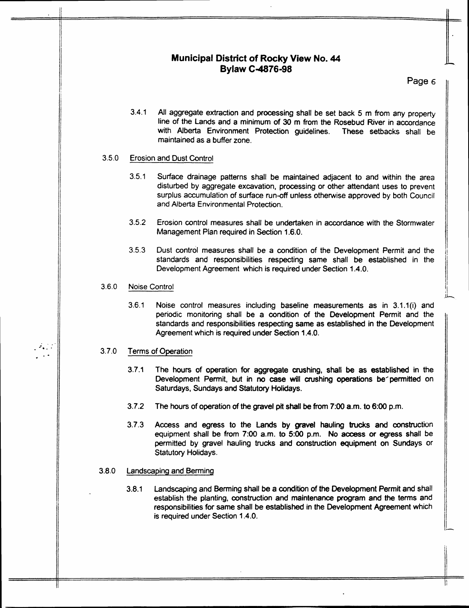# **Municipal District of Rocky View No. 44**<br>Bylaw C-4876-98

Page 6

**3.4.1** All aggregate extraction and processing shall be set back 5 m from any property line of the Lands and a minimum of **30** m from the Rosebud River in accordance with Alberta Environment Protection guidelines. These setbacks shall be maintained as a buffer zone.

#### **3.5.0**  Erosion and Dust Control

- 3.5.1 Surface drainage patterns shall be maintained adjacent to and within the area disturbed by aggregate excavation, processing or other attendant uses to prevent surplus accumulation of surface run-off unless otherwise approved by both Council and Alberta Environmental Protection.
- **3.5.2** Erosion control measures shall be undertaken in accordance with the Stormwater Management Pian required in Section 1.6.0.
- **3.5.3** Dust control measures shall be a condition of the Development Permit and the standards and responsibilities respecting same shall be established in the Development Agreement which is required under Section 1.4.0.

#### **3.6.0**  Noise Control

3.6.1 Noise control measures including baseline measurements as in 3.1.1(i) and periodic monitoring shall be a condition of the Development Permit and the standards and responsibilities respecting same as established in the Development Agreement which is required under Section 1.4.0.

#### 3.7.0 Terms of Operation

. .. . **-a.** - .-

- 3.7.1 The hours of operation for aggregate crushing, **shalt** be as established in the Development Permit, but in no case will crushing operations be permitted on Saturdays, Sundays and Statutory Holidays.
- **3.7.2** The hours of operation of the gravel pit **shall be** from **7:OO** a.m. to **6:OO** p.m.
- 3.7.3 Access and egress to the Lands by gravel hauling trucks and construction equipment shall be from *7:OO* a.m. to *500* p.m. **No access** *or* egress shall be permitted by gravel hauling *trucks* **and** construction equipment on Sundays or Statutory Holidays.

#### 3.8.0 Landscaping and Berming

**3.8.1** Landscaping and Berming shall be a condition of the Development Permit and shall establish the planting, construction and maintenance program and the terms and responsibilities **for** same shall be established in the Development Agreement which is required under Section 1.4.0.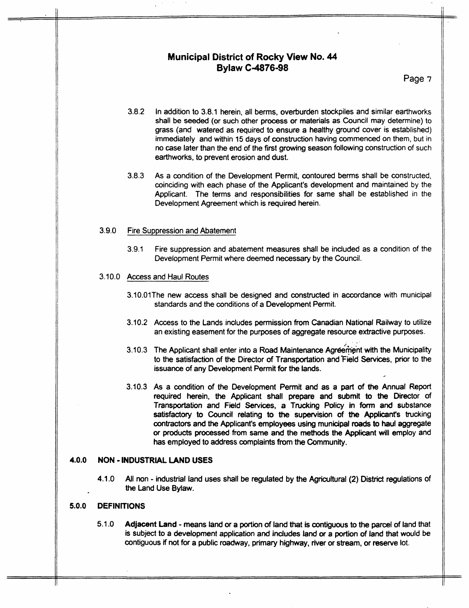## **Municipal District of Rocky View No. 44 Bylaw C.4876-98**

Page *7* 

- 3.8.2 In addition to 3.8.1 herein, all berms, overburden stockpiles and similar earthworks shall be seeded (or such other process or materials as Council may determine) to grass (and watered as required to ensure a healthy ground cover is established) immediately and within 15 days of construction having commenced on them, but in no case later than the end of the first growing season following construction of such earthworks, to prevent erosion and dust.
- 3.8.3 As a condition of the Development Permit, contoured berms shall be constructed, coinciding with each phase of the Applicant's development and maintained by the Applicant. The terms and responsibilities **for** same shall be established in the Development Agreement which is required herein.

## 3.9.0 Fire Suppression and Abatement

3.9.1 Fire suppression and abatement measures shall be included as a condition of the Development Permit where deemed necessary by the Council.

## 3.10.0 Access and Haul Routes

- 3.10.01The new access shall be designed and constructed in accordance with municipal standards and the conditions of a Development Permit.
- **3.10.2**  Access to the Lands includes permission from Canadian National Railway to utilize an existing easement **for** the purposes of aggregate resource extractive purposes.

..

- 3.10.3 The Applicant shall enter into a Road Maintenance Agreement with the Municipality to the satisfaction of **the** Director of Transportation and'Field Services, prior to the issuance of any Development Permit for the lands.
- **3.10.3**  As a condition of the Development Permit and as a part of **the** Annual Report required herein, **the** Applicant shall prepare and submit **to the** Director of Transportation and Field Services, a Trucking Policy in form **and** substance satisfactory to Council relating to **the** supervision of **the** Applicant's trucking contractors and the Applicant's employees using municipal **mads** to **haul** aggregate or products processed from same and the methods the Applicant will employ and has employed to address complaints from **the** Community.

## **4.0.0 NON** - **INDUSTRlAL LAND USES**

**4.1.0** All non - industrial land uses **shall** be regulated by the Agricultural (2) District regulations of the Land Use Bylaw.

## **5.0.0 DEFINITIONS**

5.1 **-0** Adjacent Land - means land or a porton of land that is contguous to the parcel of land that is subject to a development application **and** indudes land **or** a portion of land that would **be**  contiguous if not for a public roadway, primary highway, river or stream, or reserve lot.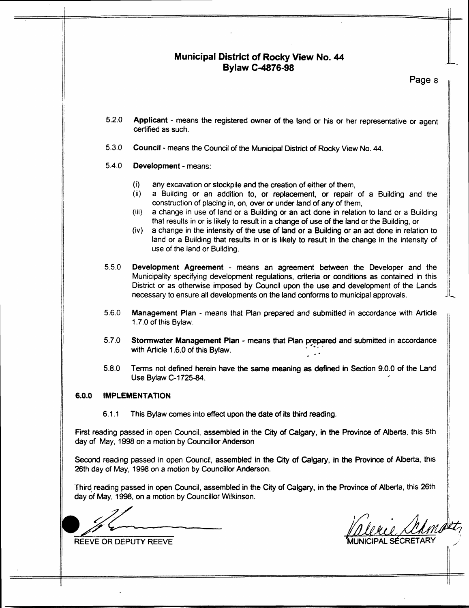## **Municipal District of Rocky View No. 44 Bylaw C-4876-98**

**Page** a

- **5.2.0 Applicant** - means the registered owner of the land or his or her representative or agent certified as such.
- **5.3.0**  Council - means the Council of the Municipal District of Rocky View No. **44.**

#### **5.4.0 Development** - means:

- (i) any excavation or stockpile and the creation of either of them,<br>(ii) a Building or an addition to, or replacement, or repair
- a Building or an addition to, or replacement, or repair of a Building and the construction of placing in, on, over **or** under land of any of them,
- (iii) a change in use of land **or** a Building **or** an act done in relation to land or a Building that results in or is likely to result in a change of use of the land or the Building, or
- (iv) a change in the intensity of the use of land **or** a Building or an act done in relation to land or a Building that results in or is likely to result in the change in the intensity of use of the land or Building.
- **5.5.0 Development Agreement** - means an agreement between the Developer and the Municipality specifying development regulations, criteria **or** conditions as contained in this District or as otherwise imposed by Council upon the use and development of the Lands necessary to ensure all developments on the land conforms to municipal approvals.
- **5.6.0 Management Plan** - means that Plan prepared and submitted in accordance with Article 1.7.0 of this Bylaw.
- **5.7.0 Stormwater Management Plan - means that Plan prepared and submitted in accordance with Article 1.6.0 of this Bylaw.**
- **5.8.0**  Terms not defined herein have the same meaning as defined in Section 9.0.0 of the Land Use Bylaw **C-1725-84.**

## **6.0.0 IMPLEMENTATION**

6.1.1 This Bylaw comes into effect upon **the** date of its third reading.

First reading passed in open Council, assembled in **the** *City* **of** Calgary, in **the** Province of Alberta, this 5th **day** of May, 1998 **on** a motion by Councillor Anderson

Second reading passed in open Council, assembled in **the Crty** of Calgary, in **the** Province of Alberta, this **26th** day of May, **1998** on a motion by Councillor Anderson.

'Third. reading passed in open Council, assembled in the City of Calgary, in **the** Province of Alberta, this 26th day of May, **1998,** on a motion by Councillor Wi!kinson.

First reading passed in<br>day of May, 1998 on a i<br>Second reading passed<br>26th day of May, 1998 of<br>Third reading passed in<br>day of May, 1998, on a r<br>REEVE OR DEPUTY RI

REEVE OR DEPUTY REEVE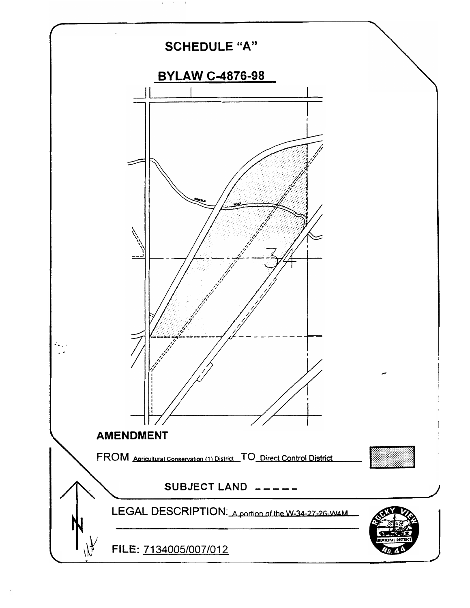